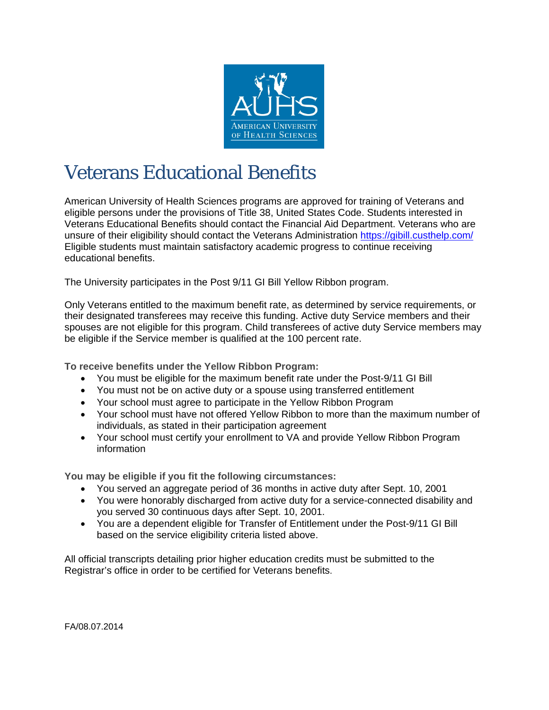

## Veterans Educational Benefits

American University of Health Sciences programs are approved for training of Veterans and eligible persons under the provisions of Title 38, United States Code. Students interested in Veterans Educational Benefits should contact the Financial Aid Department. Veterans who are unsure of their eligibility should contact the Veterans Administration https://gibill.custhelp.com/ Eligible students must maintain satisfactory academic progress to continue receiving educational benefits.

The University participates in the Post 9/11 GI Bill Yellow Ribbon program.

Only Veterans entitled to the maximum benefit rate, as determined by service requirements, or their designated transferees may receive this funding. Active duty Service members and their spouses are not eligible for this program. Child transferees of active duty Service members may be eligible if the Service member is qualified at the 100 percent rate.

**To receive benefits under the Yellow Ribbon Program:** 

- You must be eligible for the maximum benefit rate under the Post-9/11 GI Bill
- You must not be on active duty or a spouse using transferred entitlement
- Your school must agree to participate in the Yellow Ribbon Program
- Your school must have not offered Yellow Ribbon to more than the maximum number of individuals, as stated in their participation agreement
- Your school must certify your enrollment to VA and provide Yellow Ribbon Program information

**You may be eligible if you fit the following circumstances:**

- You served an aggregate period of 36 months in active duty after Sept. 10, 2001
- You were honorably discharged from active duty for a service-connected disability and you served 30 continuous days after Sept. 10, 2001.
- You are a dependent eligible for Transfer of Entitlement under the Post-9/11 GI Bill based on the service eligibility criteria listed above.

All official transcripts detailing prior higher education credits must be submitted to the Registrar's office in order to be certified for Veterans benefits.

FA/08.07.2014